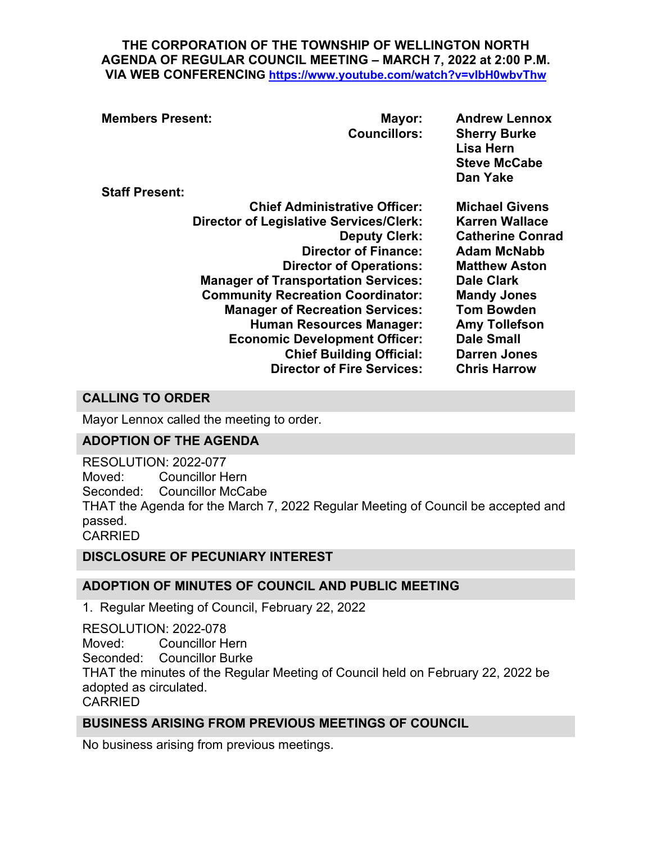#### **THE CORPORATION OF THE TOWNSHIP OF WELLINGTON NORTH AGENDA OF REGULAR COUNCIL MEETING – MARCH 7, 2022 at 2:00 P.M. VIA WEB CONFERENCING <https://www.youtube.com/watch?v=vlbH0wbvThw>**

| <b>Members Present:</b>                        | Mayor:<br><b>Councillors:</b>        | <b>Andrew Lennox</b><br><b>Sherry Burke</b><br>Lisa Hern<br><b>Steve McCabe</b><br>Dan Yake |
|------------------------------------------------|--------------------------------------|---------------------------------------------------------------------------------------------|
| <b>Staff Present:</b>                          |                                      |                                                                                             |
|                                                | <b>Chief Administrative Officer:</b> | <b>Michael Givens</b>                                                                       |
| <b>Director of Legislative Services/Clerk:</b> |                                      | <b>Karren Wallace</b>                                                                       |
|                                                | <b>Deputy Clerk:</b>                 | <b>Catherine Conrad</b>                                                                     |
|                                                | <b>Director of Finance:</b>          | <b>Adam McNabb</b>                                                                          |
|                                                | <b>Director of Operations:</b>       | <b>Matthew Aston</b>                                                                        |
| <b>Manager of Transportation Services:</b>     |                                      | <b>Dale Clark</b>                                                                           |
| <b>Community Recreation Coordinator:</b>       |                                      | <b>Mandy Jones</b>                                                                          |
| <b>Manager of Recreation Services:</b>         |                                      | <b>Tom Bowden</b>                                                                           |
|                                                | <b>Human Resources Manager:</b>      | <b>Amy Tollefson</b>                                                                        |
|                                                | <b>Economic Development Officer:</b> | <b>Dale Small</b>                                                                           |
|                                                | <b>Chief Building Official:</b>      | <b>Darren Jones</b>                                                                         |
|                                                | <b>Director of Fire Services:</b>    | <b>Chris Harrow</b>                                                                         |

# **CALLING TO ORDER**

Mayor Lennox called the meeting to order.

## **ADOPTION OF THE AGENDA**

RESOLUTION: 2022-077 Moved: Councillor Hern Seconded: Councillor McCabe THAT the Agenda for the March 7, 2022 Regular Meeting of Council be accepted and passed. CARRIED

**DISCLOSURE OF PECUNIARY INTEREST**

## **ADOPTION OF MINUTES OF COUNCIL AND PUBLIC MEETING**

1. Regular Meeting of Council, February 22, 2022

RESOLUTION: 2022-078 Moved: Councillor Hern Seconded: Councillor Burke THAT the minutes of the Regular Meeting of Council held on February 22, 2022 be adopted as circulated. CARRIED

## **BUSINESS ARISING FROM PREVIOUS MEETINGS OF COUNCIL**

No business arising from previous meetings.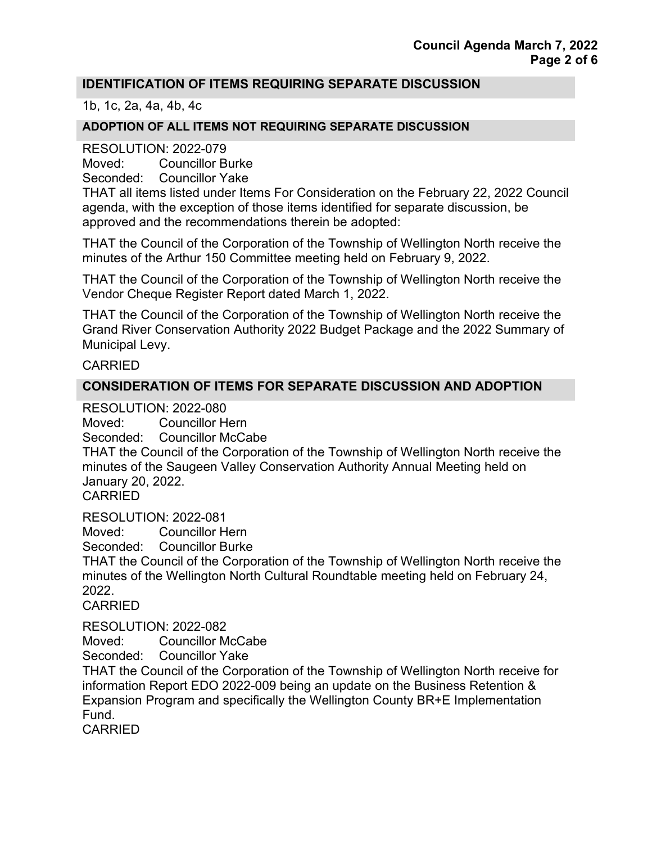#### **IDENTIFICATION OF ITEMS REQUIRING SEPARATE DISCUSSION**

1b, 1c, 2a, 4a, 4b, 4c

#### **ADOPTION OF ALL ITEMS NOT REQUIRING SEPARATE DISCUSSION**

RESOLUTION: 2022-079

Moved: Councillor Burke

Seconded: Councillor Yake

THAT all items listed under Items For Consideration on the February 22, 2022 Council agenda, with the exception of those items identified for separate discussion, be approved and the recommendations therein be adopted:

THAT the Council of the Corporation of the Township of Wellington North receive the minutes of the Arthur 150 Committee meeting held on February 9, 2022.

THAT the Council of the Corporation of the Township of Wellington North receive the Vendor Cheque Register Report dated March 1, 2022.

THAT the Council of the Corporation of the Township of Wellington North receive the Grand River Conservation Authority 2022 Budget Package and the 2022 Summary of Municipal Levy.

#### CARRIED

## **CONSIDERATION OF ITEMS FOR SEPARATE DISCUSSION AND ADOPTION**

RESOLUTION: 2022-080

Moved: Councillor Hern

Seconded: Councillor McCabe

THAT the Council of the Corporation of the Township of Wellington North receive the minutes of the Saugeen Valley Conservation Authority Annual Meeting held on January 20, 2022.

CARRIED

RESOLUTION: 2022-081

Moved: Councillor Hern

Seconded: Councillor Burke

THAT the Council of the Corporation of the Township of Wellington North receive the minutes of the Wellington North Cultural Roundtable meeting held on February 24, 2022.

CARRIED

RESOLUTION: 2022-082

Moved: Councillor McCabe

Seconded: Councillor Yake

THAT the Council of the Corporation of the Township of Wellington North receive for information Report EDO 2022-009 being an update on the Business Retention & Expansion Program and specifically the Wellington County BR+E Implementation Fund.

CARRIED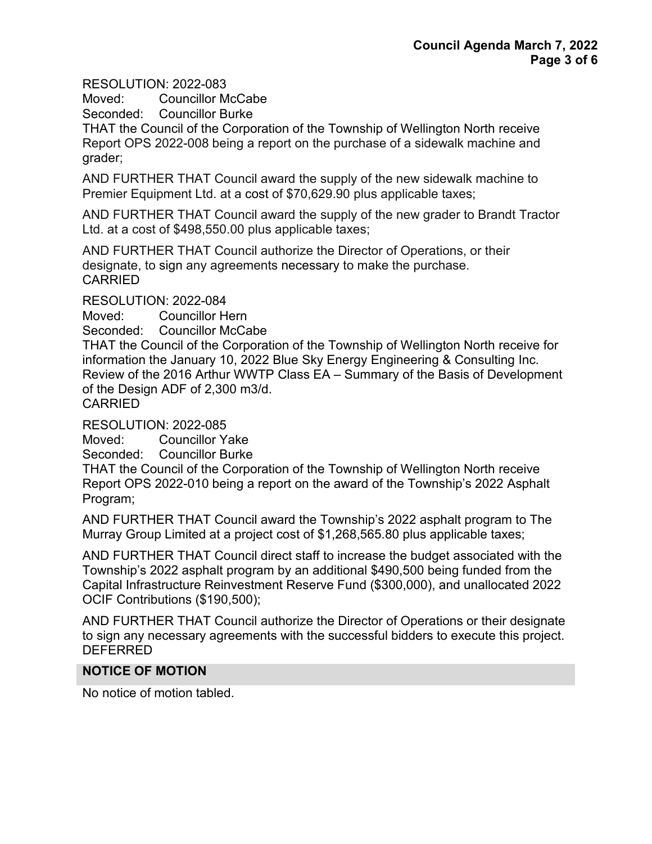RESOLUTION: 2022-083

Moved: Councillor McCabe

Seconded: Councillor Burke

THAT the Council of the Corporation of the Township of Wellington North receive Report OPS 2022-008 being a report on the purchase of a sidewalk machine and grader;

AND FURTHER THAT Council award the supply of the new sidewalk machine to Premier Equipment Ltd. at a cost of \$70,629.90 plus applicable taxes;

AND FURTHER THAT Council award the supply of the new grader to Brandt Tractor Ltd. at a cost of \$498,550.00 plus applicable taxes;

AND FURTHER THAT Council authorize the Director of Operations, or their designate, to sign any agreements necessary to make the purchase. CARRIED

RESOLUTION: 2022-084

Moved: Councillor Hern

Seconded: Councillor McCabe

THAT the Council of the Corporation of the Township of Wellington North receive for information the January 10, 2022 Blue Sky Energy Engineering & Consulting Inc. Review of the 2016 Arthur WWTP Class EA – Summary of the Basis of Development of the Design ADF of 2,300 m3/d. CARRIED

RESOLUTION: 2022-085

Moved: Councillor Yake

Seconded: Councillor Burke

THAT the Council of the Corporation of the Township of Wellington North receive Report OPS 2022-010 being a report on the award of the Township's 2022 Asphalt Program;

AND FURTHER THAT Council award the Township's 2022 asphalt program to The Murray Group Limited at a project cost of \$1,268,565.80 plus applicable taxes;

AND FURTHER THAT Council direct staff to increase the budget associated with the Township's 2022 asphalt program by an additional \$490,500 being funded from the Capital Infrastructure Reinvestment Reserve Fund (\$300,000), and unallocated 2022 OCIF Contributions (\$190,500);

AND FURTHER THAT Council authorize the Director of Operations or their designate to sign any necessary agreements with the successful bidders to execute this project. DEFERRED

#### **NOTICE OF MOTION**

No notice of motion tabled.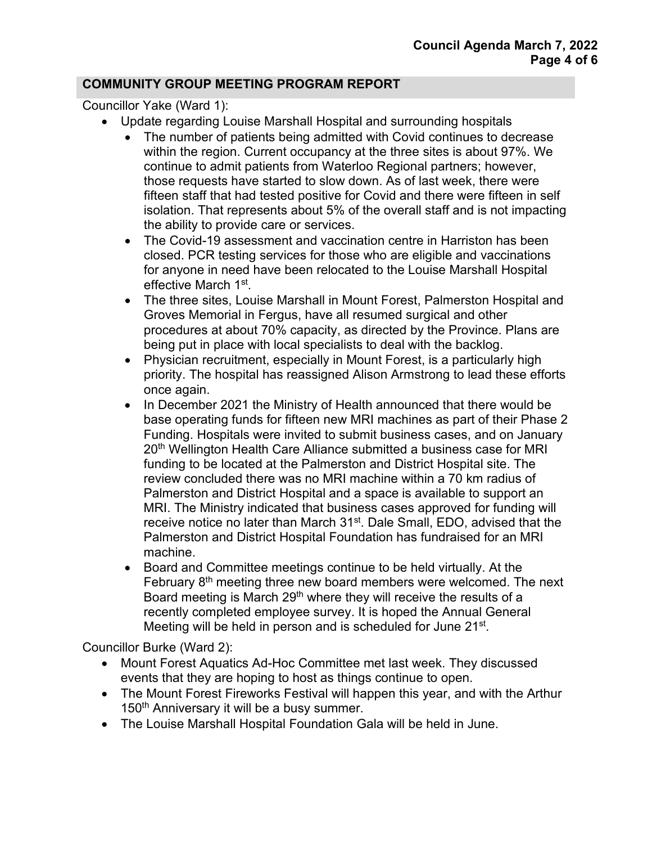#### **COMMUNITY GROUP MEETING PROGRAM REPORT**

Councillor Yake (Ward 1):

- Update regarding Louise Marshall Hospital and surrounding hospitals
	- The number of patients being admitted with Covid continues to decrease within the region. Current occupancy at the three sites is about 97%. We continue to admit patients from Waterloo Regional partners; however, those requests have started to slow down. As of last week, there were fifteen staff that had tested positive for Covid and there were fifteen in self isolation. That represents about 5% of the overall staff and is not impacting the ability to provide care or services.
	- The Covid-19 assessment and vaccination centre in Harriston has been closed. PCR testing services for those who are eligible and vaccinations for anyone in need have been relocated to the Louise Marshall Hospital effective March 1st.
	- The three sites, Louise Marshall in Mount Forest, Palmerston Hospital and Groves Memorial in Fergus, have all resumed surgical and other procedures at about 70% capacity, as directed by the Province. Plans are being put in place with local specialists to deal with the backlog.
	- Physician recruitment, especially in Mount Forest, is a particularly high priority. The hospital has reassigned Alison Armstrong to lead these efforts once again.
	- In December 2021 the Ministry of Health announced that there would be base operating funds for fifteen new MRI machines as part of their Phase 2 Funding. Hospitals were invited to submit business cases, and on January 20<sup>th</sup> Wellington Health Care Alliance submitted a business case for MRI funding to be located at the Palmerston and District Hospital site. The review concluded there was no MRI machine within a 70 km radius of Palmerston and District Hospital and a space is available to support an MRI. The Ministry indicated that business cases approved for funding will receive notice no later than March 31<sup>st</sup>. Dale Small, EDO, advised that the Palmerston and District Hospital Foundation has fundraised for an MRI machine.
	- Board and Committee meetings continue to be held virtually. At the February  $8<sup>th</sup>$  meeting three new board members were welcomed. The next Board meeting is March 29<sup>th</sup> where they will receive the results of a recently completed employee survey. It is hoped the Annual General Meeting will be held in person and is scheduled for June 21<sup>st</sup>.

Councillor Burke (Ward 2):

- Mount Forest Aquatics Ad-Hoc Committee met last week. They discussed events that they are hoping to host as things continue to open.
- The Mount Forest Fireworks Festival will happen this year, and with the Arthur 150<sup>th</sup> Anniversary it will be a busy summer.
- The Louise Marshall Hospital Foundation Gala will be held in June.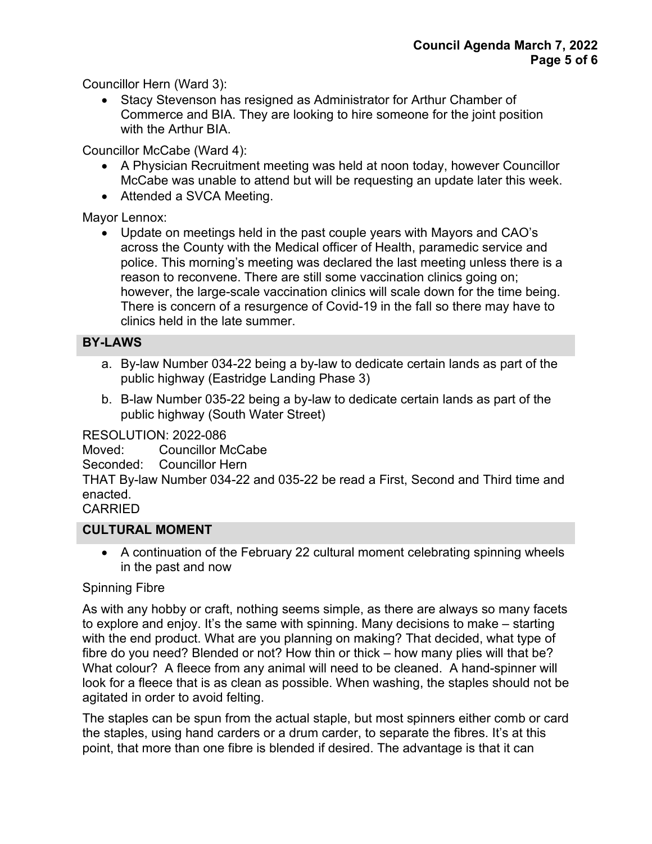Councillor Hern (Ward 3):

• Stacy Stevenson has resigned as Administrator for Arthur Chamber of Commerce and BIA. They are looking to hire someone for the joint position with the Arthur BIA.

Councillor McCabe (Ward 4):

- A Physician Recruitment meeting was held at noon today, however Councillor McCabe was unable to attend but will be requesting an update later this week.
- Attended a SVCA Meeting.

Mayor Lennox:

• Update on meetings held in the past couple years with Mayors and CAO's across the County with the Medical officer of Health, paramedic service and police. This morning's meeting was declared the last meeting unless there is a reason to reconvene. There are still some vaccination clinics going on; however, the large-scale vaccination clinics will scale down for the time being. There is concern of a resurgence of Covid-19 in the fall so there may have to clinics held in the late summer.

## **BY-LAWS**

- a. By-law Number 034-22 being a by-law to dedicate certain lands as part of the public highway (Eastridge Landing Phase 3)
- b. B-law Number 035-22 being a by-law to dedicate certain lands as part of the public highway (South Water Street)

RESOLUTION: 2022-086

Moved: Councillor McCabe

Seconded: Councillor Hern

THAT By-law Number 034-22 and 035-22 be read a First, Second and Third time and enacted.

CARRIED

#### **CULTURAL MOMENT**

• A continuation of the February 22 cultural moment celebrating spinning wheels in the past and now

## Spinning Fibre

As with any hobby or craft, nothing seems simple, as there are always so many facets to explore and enjoy. It's the same with spinning. Many decisions to make – starting with the end product. What are you planning on making? That decided, what type of fibre do you need? Blended or not? How thin or thick – how many plies will that be? What colour? A fleece from any animal will need to be cleaned. A hand-spinner will look for a fleece that is as clean as possible. When washing, the staples should not be agitated in order to avoid felting.

The staples can be spun from the actual staple, but most spinners either comb or card the staples, using hand carders or a drum carder, to separate the fibres. It's at this point, that more than one fibre is blended if desired. The advantage is that it can